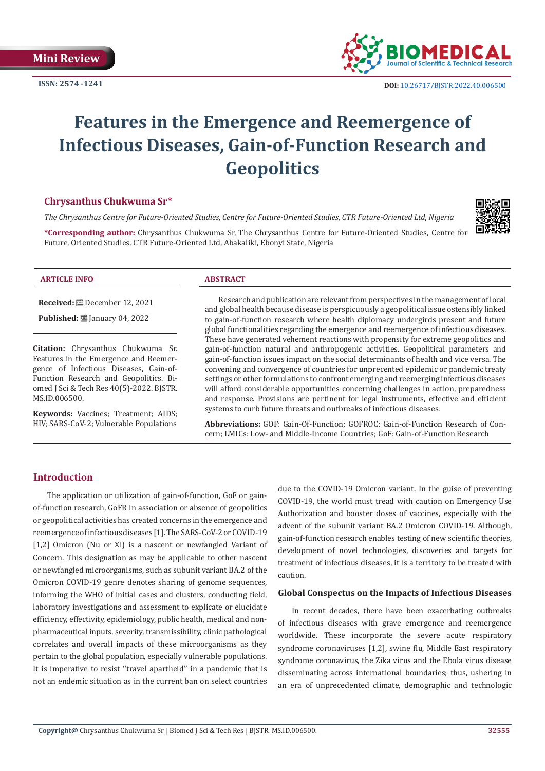**Mini Review**



# **Features in the Emergence and Reemergence of Infectious Diseases, Gain-of-Function Research and Geopolitics**

## **Chrysanthus Chukwuma Sr\***

*The Chrysanthus Centre for Future-Oriented Studies, Centre for Future-Oriented Studies, CTR Future-Oriented Ltd, Nigeria*

**\*Corresponding author:** Chrysanthus Chukwuma Sr, The Chrysanthus Centre for Future-Oriented Studies, Centre for Future, Oriented Studies, CTR Future-Oriented Ltd, Abakaliki, Ebonyi State, Nigeria

| <b>ARTICLE INFO</b> | $\sim$ $\sim$<br>-<br>$\cdot$ and $\cdot$ |  |
|---------------------|-------------------------------------------|--|

**Received:** December 12, 2021

**Published: [**] January 04, 2022

**Citation:** Chrysanthus Chukwuma Sr. Features in the Emergence and Reemergence of Infectious Diseases, Gain-of-Function Research and Geopolitics. Biomed J Sci & Tech Res 40(5)-2022. BJSTR. MS.ID.006500.

**Keywords:** Vaccines; Treatment; AIDS; HIV; SARS-CoV-2; Vulnerable Populations

Research and publication are relevant from perspectives in the management of local and global health because disease is perspicuously a geopolitical issue ostensibly linked to gain-of-function research where health diplomacy undergirds present and future global functionalities regarding the emergence and reemergence of infectious diseases. These have generated vehement reactions with propensity for extreme geopolitics and gain-of-function natural and anthropogenic activities. Geopolitical parameters and gain-of-function issues impact on the social determinants of health and vice versa. The convening and convergence of countries for unprecented epidemic or pandemic treaty settings or other formulations to confront emerging and reemerging infectious diseases will afford considerable opportunities concerning challenges in action, preparedness and response. Provisions are pertinent for legal instruments, effective and efficient systems to curb future threats and outbreaks of infectious diseases.

**Abbreviations:** GOF: Gain-Of-Function; GOFROC: Gain-of-Function Research of Concern; LMICs: Low- and Middle-Income Countries; GoF: Gain-of-Function Research

# **Introduction**

The application or utilization of gain-of-function, GoF or gainof-function research, GoFR in association or absence of geopolitics or geopolitical activities has created concerns in the emergence and reemergence of infectious diseases [1]. The SARS-CoV-2 or COVID-19 [1,2] Omicron (Nu or Xi) is a nascent or newfangled Variant of Concern. This designation as may be applicable to other nascent or newfangled microorganisms, such as subunit variant BA.2 of the Omicron COVID-19 genre denotes sharing of genome sequences, informing the WHO of initial cases and clusters, conducting field, laboratory investigations and assessment to explicate or elucidate efficiency, effectivity, epidemiology, public health, medical and nonpharmaceutical inputs, severity, transmissibility, clinic pathological correlates and overall impacts of these microorganisms as they pertain to the global population, especially vulnerable populations. It is imperative to resist ''travel apartheid'' in a pandemic that is not an endemic situation as in the current ban on select countries due to the COVID-19 Omicron variant. In the guise of preventing COVID-19, the world must tread with caution on Emergency Use Authorization and booster doses of vaccines, especially with the advent of the subunit variant BA.2 Omicron COVID-19. Although, gain-of-function research enables testing of new scientific theories, development of novel technologies, discoveries and targets for treatment of infectious diseases, it is a territory to be treated with caution.

#### **Global Conspectus on the Impacts of Infectious Diseases**

In recent decades, there have been exacerbating outbreaks of infectious diseases with grave emergence and reemergence worldwide. These incorporate the severe acute respiratory syndrome coronaviruses [1,2], swine flu, Middle East respiratory syndrome coronavirus, the Zika virus and the Ebola virus disease disseminating across international boundaries; thus, ushering in an era of unprecedented climate, demographic and technologic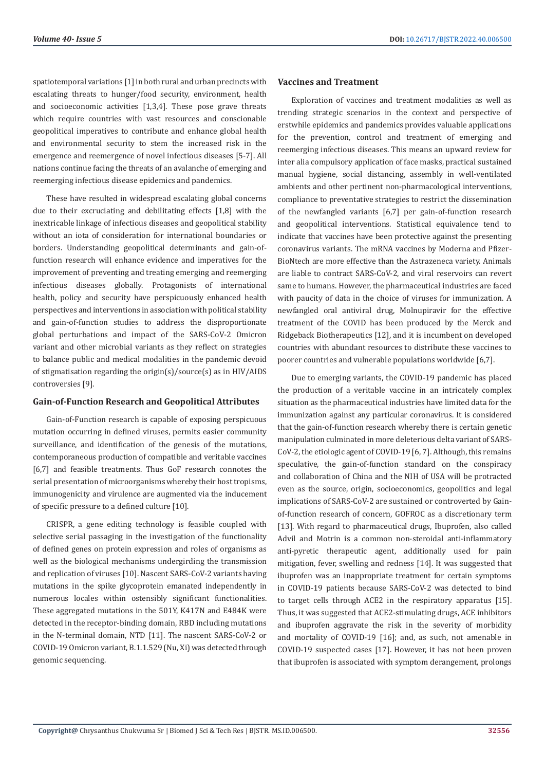spatiotemporal variations [1] in both rural and urban precincts with escalating threats to hunger/food security, environment, health and socioeconomic activities [1,3,4]. These pose grave threats which require countries with vast resources and conscionable geopolitical imperatives to contribute and enhance global health and environmental security to stem the increased risk in the emergence and reemergence of novel infectious diseases [5-7]. All nations continue facing the threats of an avalanche of emerging and reemerging infectious disease epidemics and pandemics.

These have resulted in widespread escalating global concerns due to their excruciating and debilitating effects [1,8] with the inextricable linkage of infectious diseases and geopolitical stability without an iota of consideration for international boundaries or borders. Understanding geopolitical determinants and gain-offunction research will enhance evidence and imperatives for the improvement of preventing and treating emerging and reemerging infectious diseases globally. Protagonists of international health, policy and security have perspicuously enhanced health perspectives and interventions in association with political stability and gain-of-function studies to address the disproportionate global perturbations and impact of the SARS-CoV-2 Omicron variant and other microbial variants as they reflect on strategies to balance public and medical modalities in the pandemic devoid of stigmatisation regarding the origin(s)/source(s) as in HIV/AIDS controversies [9].

#### **Gain-of-Function Research and Geopolitical Attributes**

Gain-of-Function research is capable of exposing perspicuous mutation occurring in defined viruses, permits easier community surveillance, and identification of the genesis of the mutations, contemporaneous production of compatible and veritable vaccines [6,7] and feasible treatments. Thus GoF research connotes the serial presentation of microorganisms whereby their host tropisms, immunogenicity and virulence are augmented via the inducement of specific pressure to a defined culture [10].

CRISPR, a gene editing technology is feasible coupled with selective serial passaging in the investigation of the functionality of defined genes on protein expression and roles of organisms as well as the biological mechanisms undergirding the transmission and replication of viruses [10]. Nascent SARS-CoV-2 variants having mutations in the spike glycoprotein emanated independently in numerous locales within ostensibly significant functionalities. These aggregated mutations in the 501Y, K417N and E484K were detected in the receptor-binding domain, RBD including mutations in the N-terminal domain, NTD [11]. The nascent SARS-CoV-2 or COVID-19 Omicron variant, B.1.1.529 (Nu, Xi) was detected through genomic sequencing.

## **Vaccines and Treatment**

Exploration of vaccines and treatment modalities as well as trending strategic scenarios in the context and perspective of erstwhile epidemics and pandemics provides valuable applications for the prevention, control and treatment of emerging and reemerging infectious diseases. This means an upward review for inter alia compulsory application of face masks, practical sustained manual hygiene, social distancing, assembly in well-ventilated ambients and other pertinent non-pharmacological interventions, compliance to preventative strategies to restrict the dissemination of the newfangled variants [6,7] per gain-of-function research and geopolitical interventions. Statistical equivalence tend to indicate that vaccines have been protective against the presenting coronavirus variants. The mRNA vaccines by Moderna and Pfizer-BioNtech are more effective than the Astrazeneca variety. Animals are liable to contract SARS-CoV-2, and viral reservoirs can revert same to humans. However, the pharmaceutical industries are faced with paucity of data in the choice of viruses for immunization. A newfangled oral antiviral drug, Molnupiravir for the effective treatment of the COVID has been produced by the Merck and Ridgeback Biotherapeutics [12], and it is incumbent on developed countries with abundant resources to distribute these vaccines to poorer countries and vulnerable populations worldwide [6,7].

Due to emerging variants, the COVID-19 pandemic has placed the production of a veritable vaccine in an intricately complex situation as the pharmaceutical industries have limited data for the immunization against any particular coronavirus. It is considered that the gain-of-function research whereby there is certain genetic manipulation culminated in more deleterious delta variant of SARS-CoV-2, the etiologic agent of COVID-19 [6, 7]. Although, this remains speculative, the gain-of-function standard on the conspiracy and collaboration of China and the NIH of USA will be protracted even as the source, origin, socioeconomics, geopolitics and legal implications of SARS-CoV-2 are sustained or controverted by Gainof-function research of concern, GOFROC as a discretionary term [13]. With regard to pharmaceutical drugs, Ibuprofen, also called Advil and Motrin is a common non-steroidal anti-inflammatory anti-pyretic therapeutic agent, additionally used for pain mitigation, fever, swelling and redness [14]. It was suggested that ibuprofen was an inappropriate treatment for certain symptoms in COVID-19 patients because SARS-CoV-2 was detected to bind to target cells through ACE2 in the respiratory apparatus [15]. Thus, it was suggested that ACE2-stimulating drugs, ACE inhibitors and ibuprofen aggravate the risk in the severity of morbidity and mortality of COVID-19 [16]; and, as such, not amenable in COVID-19 suspected cases [17]. However, it has not been proven that ibuprofen is associated with symptom derangement, prolongs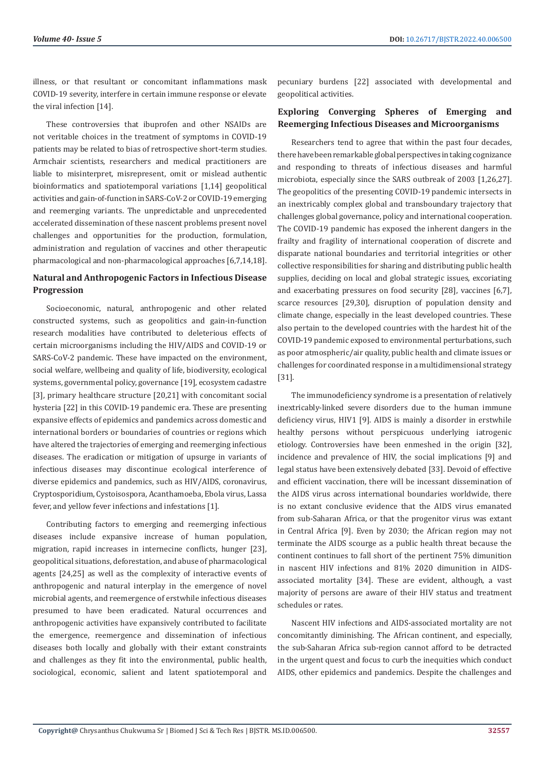illness, or that resultant or concomitant inflammations mask COVID-19 severity, interfere in certain immune response or elevate the viral infection [14].

These controversies that ibuprofen and other NSAIDs are not veritable choices in the treatment of symptoms in COVID-19 patients may be related to bias of retrospective short-term studies. Armchair scientists, researchers and medical practitioners are liable to misinterpret, misrepresent, omit or mislead authentic bioinformatics and spatiotemporal variations [1,14] geopolitical activities and gain-of-function in SARS-CoV-2 or COVID-19 emerging and reemerging variants. The unpredictable and unprecedented accelerated dissemination of these nascent problems present novel challenges and opportunities for the production, formulation, administration and regulation of vaccines and other therapeutic pharmacological and non-pharmacological approaches [6,7,14,18].

# **Natural and Anthropogenic Factors in Infectious Disease Progression**

Socioeconomic, natural, anthropogenic and other related constructed systems, such as geopolitics and gain-in-function research modalities have contributed to deleterious effects of certain microorganisms including the HIV/AIDS and COVID-19 or SARS-CoV-2 pandemic. These have impacted on the environment, social welfare, wellbeing and quality of life, biodiversity, ecological systems, governmental policy, governance [19], ecosystem cadastre [3], primary healthcare structure [20,21] with concomitant social hysteria [22] in this COVID-19 pandemic era. These are presenting expansive effects of epidemics and pandemics across domestic and international borders or boundaries of countries or regions which have altered the trajectories of emerging and reemerging infectious diseases. The eradication or mitigation of upsurge in variants of infectious diseases may discontinue ecological interference of diverse epidemics and pandemics, such as HIV/AIDS, coronavirus, Cryptosporidium, Cystoisospora, Acanthamoeba, Ebola virus, Lassa fever, and yellow fever infections and infestations [1].

Contributing factors to emerging and reemerging infectious diseases include expansive increase of human population, migration, rapid increases in internecine conflicts, hunger [23], geopolitical situations, deforestation, and abuse of pharmacological agents [24,25] as well as the complexity of interactive events of anthropogenic and natural interplay in the emergence of novel microbial agents, and reemergence of erstwhile infectious diseases presumed to have been eradicated. Natural occurrences and anthropogenic activities have expansively contributed to facilitate the emergence, reemergence and dissemination of infectious diseases both locally and globally with their extant constraints and challenges as they fit into the environmental, public health, sociological, economic, salient and latent spatiotemporal and

pecuniary burdens [22] associated with developmental and geopolitical activities.

## **Exploring Converging Spheres of Emerging and Reemerging Infectious Diseases and Microorganisms**

Researchers tend to agree that within the past four decades, there have been remarkable global perspectives in taking cognizance and responding to threats of infectious diseases and harmful microbiota, especially since the SARS outbreak of 2003 [1,26,27]. The geopolitics of the presenting COVID-19 pandemic intersects in an inextricably complex global and transboundary trajectory that challenges global governance, policy and international cooperation. The COVID-19 pandemic has exposed the inherent dangers in the frailty and fragility of international cooperation of discrete and disparate national boundaries and territorial integrities or other collective responsibilities for sharing and distributing public health supplies, deciding on local and global strategic issues, excoriating and exacerbating pressures on food security [28], vaccines [6,7], scarce resources [29,30], disruption of population density and climate change, especially in the least developed countries. These also pertain to the developed countries with the hardest hit of the COVID-19 pandemic exposed to environmental perturbations, such as poor atmospheric/air quality, public health and climate issues or challenges for coordinated response in a multidimensional strategy [31].

The immunodeficiency syndrome is a presentation of relatively inextricably-linked severe disorders due to the human immune deficiency virus, HIV1 [9]. AIDS is mainly a disorder in erstwhile healthy persons without perspicuous underlying iatrogenic etiology. Controversies have been enmeshed in the origin [32], incidence and prevalence of HIV, the social implications [9] and legal status have been extensively debated [33]. Devoid of effective and efficient vaccination, there will be incessant dissemination of the AIDS virus across international boundaries worldwide, there is no extant conclusive evidence that the AIDS virus emanated from sub-Saharan Africa, or that the progenitor virus was extant in Central Africa [9]. Even by 2030; the African region may not terminate the AIDS scourge as a public health threat because the continent continues to fall short of the pertinent 75% dimunition in nascent HIV infections and 81% 2020 dimunition in AIDSassociated mortality [34]. These are evident, although, a vast majority of persons are aware of their HIV status and treatment schedules or rates.

Nascent HIV infections and AIDS-associated mortality are not concomitantly diminishing. The African continent, and especially, the sub-Saharan Africa sub-region cannot afford to be detracted in the urgent quest and focus to curb the inequities which conduct AIDS, other epidemics and pandemics. Despite the challenges and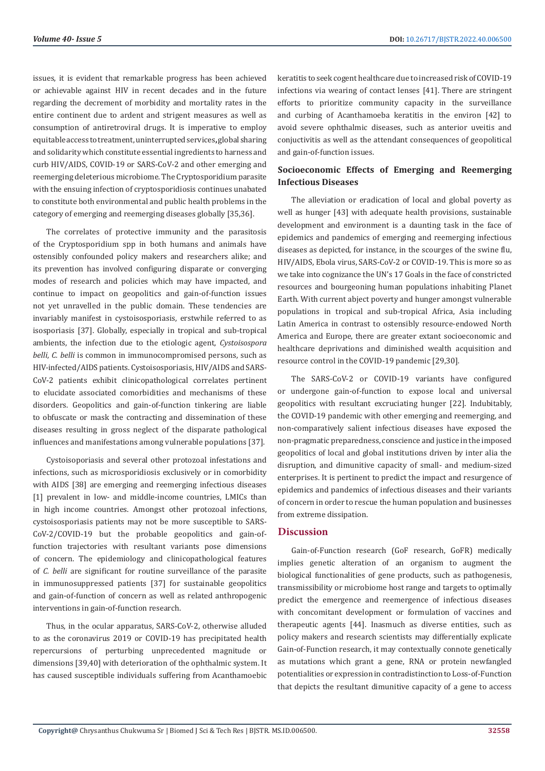issues, it is evident that remarkable progress has been achieved or achievable against HIV in recent decades and in the future regarding the decrement of morbidity and mortality rates in the entire continent due to ardent and strigent measures as well as consumption of antiretroviral drugs. It is imperative to employ equitable access to treatment, uninterrupted services**,** global sharing and solidarity which constitute essential ingredients to harness and curb HIV/AIDS, COVID-19 or SARS-CoV-2 and other emerging and reemerging deleterious microbiome. The Cryptosporidium parasite with the ensuing infection of cryptosporidiosis continues unabated to constitute both environmental and public health problems in the category of emerging and reemerging diseases globally [35,36].

The correlates of protective immunity and the parasitosis of the Cryptosporidium spp in both humans and animals have ostensibly confounded policy makers and researchers alike; and its prevention has involved configuring disparate or converging modes of research and policies which may have impacted, and continue to impact on geopolitics and gain-of-function issues not yet unravelled in the public domain. These tendencies are invariably manifest in cystoisosporiasis, erstwhile referred to as isosporiasis [37]. Globally, especially in tropical and sub-tropical ambients, the infection due to the etiologic agent, *Cystoisospora belli*, *C. belli* is common in immunocompromised persons, such as HIV-infected/AIDS patients. Cystoisosporiasis, HIV/AIDS and SARS-CoV-2 patients exhibit clinicopathological correlates pertinent to elucidate associated comorbidities and mechanisms of these disorders. Geopolitics and gain-of-function tinkering are liable to obfuscate or mask the contracting and dissemination of these diseases resulting in gross neglect of the disparate pathological influences and manifestations among vulnerable populations [37].

Cystoisoporiasis and several other protozoal infestations and infections, such as microsporidiosis exclusively or in comorbidity with AIDS [38] are emerging and reemerging infectious diseases [1] prevalent in low- and middle-income countries, LMICs than in high income countries. Amongst other protozoal infections, cystoisosporiasis patients may not be more susceptible to SARS-CoV-2/COVID-19 but the probable geopolitics and gain-offunction trajectories with resultant variants pose dimensions of concern. The epidemiology and clinicopathological features of *C. belli* are significant for routine surveillance of the parasite in immunosuppressed patients [37] for sustainable geopolitics and gain-of-function of concern as well as related anthropogenic interventions in gain-of-function research.

Thus, in the ocular apparatus, SARS-CoV-2, otherwise alluded to as the coronavirus 2019 or COVID-19 has precipitated health repercursions of perturbing unprecedented magnitude or dimensions [39,40] with deterioration of the ophthalmic system. It has caused susceptible individuals suffering from Acanthamoebic keratitis to seek cogent healthcare due to increased risk of COVID-19 infections via wearing of contact lenses [41]. There are stringent efforts to prioritize community capacity in the surveillance and curbing of Acanthamoeba keratitis in the environ [42] to avoid severe ophthalmic diseases, such as anterior uveitis and conjuctivitis as well as the attendant consequences of geopolitical and gain-of-function issues.

# **Socioeconomic Effects of Emerging and Reemerging Infectious Diseases**

The alleviation or eradication of local and global poverty as well as hunger [43] with adequate health provisions, sustainable development and environment is a daunting task in the face of epidemics and pandemics of emerging and reemerging infectious diseases as depicted, for instance, in the scourges of the swine flu, HIV/AIDS, Ebola virus, SARS-CoV-2 or COVID-19. This is more so as we take into cognizance the UN's 17 Goals in the face of constricted resources and bourgeoning human populations inhabiting Planet Earth. With current abject poverty and hunger amongst vulnerable populations in tropical and sub-tropical Africa, Asia including Latin America in contrast to ostensibly resource-endowed North America and Europe, there are greater extant socioeconomic and healthcare deprivations and diminished wealth acquisition and resource control in the COVID-19 pandemic [29,30].

The SARS-CoV-2 or COVID-19 variants have configured or undergone gain-of-function to expose local and universal geopolitics with resultant excruciating hunger [22]. Indubitably, the COVID-19 pandemic with other emerging and reemerging, and non-comparatively salient infectious diseases have exposed the non-pragmatic preparedness, conscience and justice in the imposed geopolitics of local and global institutions driven by inter alia the disruption, and dimunitive capacity of small- and medium-sized enterprises. It is pertinent to predict the impact and resurgence of epidemics and pandemics of infectious diseases and their variants of concern in order to rescue the human population and businesses from extreme dissipation.

## **Discussion**

Gain-of-Function research (GoF research, GoFR) medically implies genetic alteration of an organism to augment the biological functionalities of gene products, such as pathogenesis, transmissibility or microbiome host range and targets to optimally predict the emergence and reemergence of infectious diseases with concomitant development or formulation of vaccines and therapeutic agents [44]. Inasmuch as diverse entities, such as policy makers and research scientists may differentially explicate Gain-of-Function research, it may contextually connote genetically as mutations which grant a gene, RNA or protein newfangled potentialities or expression in contradistinction to Loss-of-Function that depicts the resultant dimunitive capacity of a gene to access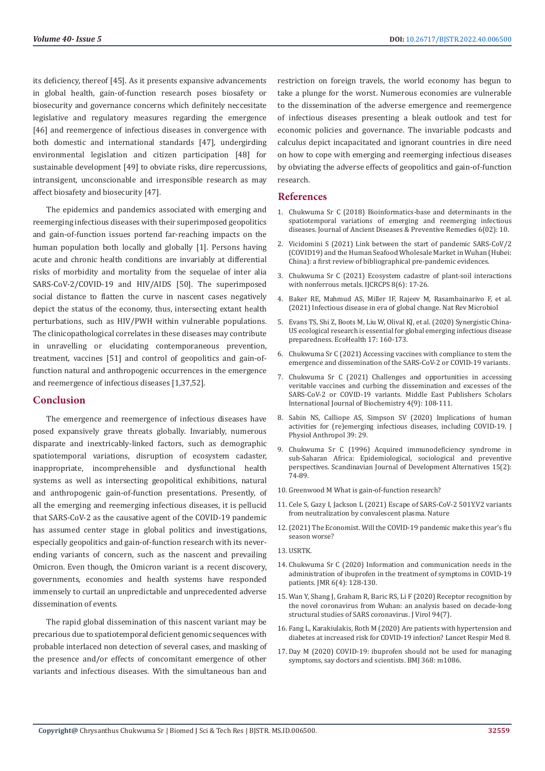its deficiency, thereof [45]. As it presents expansive advancements in global health, gain-of-function research poses biosafety or biosecurity and governance concerns which definitely neccesitate legislative and regulatory measures regarding the emergence [46] and reemergence of infectious diseases in convergence with both domestic and international standards [47], undergirding environmental legislation and citizen participation [48] for sustainable development [49] to obviate risks, dire repercussions, intransigent, unconscionable and irresponsible research as may affect biosafety and biosecurity [47].

The epidemics and pandemics associated with emerging and reemerging infectious diseases with their superimposed geopolitics and gain-of-function issues portend far-reaching impacts on the human population both locally and globally [1]. Persons having acute and chronic health conditions are invariably at differential risks of morbidity and mortality from the sequelae of inter alia SARS-CoV-2/COVID-19 and HIV/AIDS [50]. The superimposed social distance to flatten the curve in nascent cases negatively depict the status of the economy, thus, intersecting extant health perturbations, such as HIV/PWH within vulnerable populations. The clinicopathological correlates in these diseases may contribute in unravelling or elucidating contemporaneous prevention, treatment, vaccines [51] and control of geopolitics and gain-offunction natural and anthropogenic occurrences in the emergence and reemergence of infectious diseases [1,37,52].

## **Conclusion**

The emergence and reemergence of infectious diseases have posed expansively grave threats globally. Invariably, numerous disparate and inextricably-linked factors, such as demographic spatiotemporal variations, disruption of ecosystem cadaster, inappropriate, incomprehensible and dysfunctional health systems as well as intersecting geopolitical exhibitions, natural and anthropogenic gain-of-function presentations. Presently, of all the emerging and reemerging infectious diseases, it is pellucid that SARS-CoV-2 as the causative agent of the COVID-19 pandemic has assumed center stage in global politics and investigations, especially geopolitics and gain-of-function research with its neverending variants of concern, such as the nascent and prevailing Omicron. Even though, the Omicron variant is a recent discovery, governments, economies and health systems have responded immensely to curtail an unpredictable and unprecedented adverse dissemination of events.

The rapid global dissemination of this nascent variant may be precarious due to spatiotemporal deficient genomic sequences with probable interlaced non detection of several cases, and masking of the presence and/or effects of concomitant emergence of other variants and infectious diseases. With the simultaneous ban and

restriction on foreign travels, the world economy has begun to take a plunge for the worst. Numerous economies are vulnerable to the dissemination of the adverse emergence and reemergence of infectious diseases presenting a bleak outlook and test for economic policies and governance. The invariable podcasts and calculus depict incapacitated and ignorant countries in dire need on how to cope with emerging and reemerging infectious diseases by obviating the adverse effects of geopolitics and gain-of-function research.

## **References**

- 1. [Chukwuma Sr C \(2018\) Bioinformatics-base and determinants in the](https://www.researchgate.net/publication/329065191_Bioinformatics-base_and_Determinants_of_the_Spatiotemporal_Variations_of_Emerging_and_Re-emerging_Infectious_Diseases) [spatiotemporal variations of emerging and reemerging infectious](https://www.researchgate.net/publication/329065191_Bioinformatics-base_and_Determinants_of_the_Spatiotemporal_Variations_of_Emerging_and_Re-emerging_Infectious_Diseases) [diseases. Journal of Ancient Diseases & Preventive Remedies 6\(02\): 10.](https://www.researchgate.net/publication/329065191_Bioinformatics-base_and_Determinants_of_the_Spatiotemporal_Variations_of_Emerging_and_Re-emerging_Infectious_Diseases)
- 2. [Vicidomini S \(2021\) Link between the start of pandemic SARS-CoV/2](https://www.researchgate.net/publication/349533673_Link_between_the_start_of_pandemic_SARS-CoV2_COVID19_and_the_Huanan_Seafood_Wholesale_Market_in_Wuhan_Hubei_China_a_first_review_of_bibliographical_pre-pandemic_evidences) [\(COVID19\) and the Human Seafood Wholesale Market in Wuhan \(Hubei:](https://www.researchgate.net/publication/349533673_Link_between_the_start_of_pandemic_SARS-CoV2_COVID19_and_the_Huanan_Seafood_Wholesale_Market_in_Wuhan_Hubei_China_a_first_review_of_bibliographical_pre-pandemic_evidences) [China\): a first review of bibliographical pre-pandemic evidences.](https://www.researchgate.net/publication/349533673_Link_between_the_start_of_pandemic_SARS-CoV2_COVID19_and_the_Huanan_Seafood_Wholesale_Market_in_Wuhan_Hubei_China_a_first_review_of_bibliographical_pre-pandemic_evidences)
- 3. [Chukwuma Sr C \(2021\) Ecosystem cadastre of plant-soil interactions](https://www.researchgate.net/publication/352555746_Ecosystem_cadastre_of_plant-soil_interactions_with_nonferrous_metals) [with nonferrous metals. IJCRCPS 8\(6\): 17-26.](https://www.researchgate.net/publication/352555746_Ecosystem_cadastre_of_plant-soil_interactions_with_nonferrous_metals)
- 4. [Baker RE, Mahmud AS, Miller IF, Rajeev M, Rasambainarivo F, et al.](https://www.nature.com/articles/s41579-021-00639-z) [\(2021\) Infectious disease in era of global change. Nat Rev Microbiol](https://www.nature.com/articles/s41579-021-00639-z)
- 5. [Evans TS, Shi Z, Boots M, Liu W, Olival KJ, et al. \(2020\) Synergistic China-](https://link.springer.com/article/10.1007/s10393-020-01471-2)[US ecological research is essential for global emerging infectious disease](https://link.springer.com/article/10.1007/s10393-020-01471-2) [preparedness. EcoHealth 17: 160-173.](https://link.springer.com/article/10.1007/s10393-020-01471-2)
- 6. [Chukwuma Sr C \(2021\) Accessing vaccines with compliance to stem the](https://www.researchgate.net/publication/356405168_Accessing_Vaccines_with_Compliance_to_Stem_the_Emergence_and_Dissemination_of_the_SARS-CoV-2_or_COVID-19_Variants) [emergence and dissemination of the SARS-CoV-2 or COVID-19 variants.](https://www.researchgate.net/publication/356405168_Accessing_Vaccines_with_Compliance_to_Stem_the_Emergence_and_Dissemination_of_the_SARS-CoV-2_or_COVID-19_Variants)
- 7. [Chukwuma Sr C \(2021\) Challenges and opportunities in accessing](https://www.researchgate.net/publication/353643911_Challenges_and_opportunities_in_accessing_veritable_vaccines_and_curbing_the_dissemination_and_excesses_of_the_SARS-CoV-2_or_COVID-19_variants) [veritable vaccines and curbing the dissemination and excesses of the](https://www.researchgate.net/publication/353643911_Challenges_and_opportunities_in_accessing_veritable_vaccines_and_curbing_the_dissemination_and_excesses_of_the_SARS-CoV-2_or_COVID-19_variants) [SARS-CoV-2 or COVID-19 variants. Middle East Publishers Scholars](https://www.researchgate.net/publication/353643911_Challenges_and_opportunities_in_accessing_veritable_vaccines_and_curbing_the_dissemination_and_excesses_of_the_SARS-CoV-2_or_COVID-19_variants) [International Journal of Biochemistry 4\(9\): 108-111.](https://www.researchgate.net/publication/353643911_Challenges_and_opportunities_in_accessing_veritable_vaccines_and_curbing_the_dissemination_and_excesses_of_the_SARS-CoV-2_or_COVID-19_variants)
- 8. [Sabin NS, Calliope AS, Simpson SV \(2020\) Implications of human](https://jphysiolanthropol.biomedcentral.com/articles/10.1186/s40101-020-00239-5) [activities for \(re\)emerging infectious diseases, including COVID-19. J](https://jphysiolanthropol.biomedcentral.com/articles/10.1186/s40101-020-00239-5) [Physiol Anthropol 39: 29.](https://jphysiolanthropol.biomedcentral.com/articles/10.1186/s40101-020-00239-5)
- 9. [Chukwuma Sr C \(1996\) Acquired immunodeficiency syndrome in](https://www.researchgate.net/publication/337839885_Acquired_immunodeficiency_syndrome_in_sub-Saharan_Africa_Epidemiological_sociological_and_preventive_perspectives) [sub-Saharan Africa: Epidemiological, sociological and preventive](https://www.researchgate.net/publication/337839885_Acquired_immunodeficiency_syndrome_in_sub-Saharan_Africa_Epidemiological_sociological_and_preventive_perspectives) [perspectives. Scandinavian Journal of Development Alternatives 15\(2\):](https://www.researchgate.net/publication/337839885_Acquired_immunodeficiency_syndrome_in_sub-Saharan_Africa_Epidemiological_sociological_and_preventive_perspectives) [74-89.](https://www.researchgate.net/publication/337839885_Acquired_immunodeficiency_syndrome_in_sub-Saharan_Africa_Epidemiological_sociological_and_preventive_perspectives)
- 10. [Greenwood M What is gain-of-function research?](https://www.news-medical.net/health/What-is-Gain-of-Function-Research.aspx)
- 11. [Cele S, Gazy I, Jackson L \(2021\) Escape of SARS-CoV-2 501Y.V2 variants](https://www.nature.com/articles/s41586-021-03471-w.) [from neutralization by convalescent plasma. Nature](https://www.nature.com/articles/s41586-021-03471-w.)
- 12.[\(2021\) The Economist. Will the COVID-19 pandemic make this year's flu](https://www.economist.com/the-economist-explains/2021/11/02/will-the-covid-19-pandemic-make-this-years-flu-season-worse) [season worse?](https://www.economist.com/the-economist-explains/2021/11/02/will-the-covid-19-pandemic-make-this-years-flu-season-worse)
- 13. [USRTK.](https://usrtk.org/biohazards/how-nih-funded-research-in-china-could-have-led-to-the-COVID-19-pandemic/)
- 14. [Chukwuma Sr C \(2020\) Information and communication needs in the](https://applications.emro.who.int/imemrf/224/J-Med-Res-2020-6-4-128-130-eng.pdf) [administration of ibuprofen in the treatment of symptoms in COVID-19](https://applications.emro.who.int/imemrf/224/J-Med-Res-2020-6-4-128-130-eng.pdf) [patients. JMR 6\(4\): 128-130.](https://applications.emro.who.int/imemrf/224/J-Med-Res-2020-6-4-128-130-eng.pdf)
- 15. [Wan Y, Shang J, Graham R, Baric RS, Li F \(2020\) Receptor recognition by](https://journals.asm.org/doi/10.1128/JVI.00127-20) [the novel coronavirus from Wuhan: an analysis based on decade-long](https://journals.asm.org/doi/10.1128/JVI.00127-20) [structural studies of SARS coronavirus. J Virol 94\(7\).](https://journals.asm.org/doi/10.1128/JVI.00127-20)
- 16. [Fang L, Karakiulakis, Roth M \(2020\) Are patients with hypertension and](https://www.thelancet.com/journals/lanres/article/PIIS2213-2600(20)30116-8/fulltext) [diabetes at increased risk for COVID-19 infection? Lancet Respir Med 8.](https://www.thelancet.com/journals/lanres/article/PIIS2213-2600(20)30116-8/fulltext)
- 17. [Day M \(2020\) COVID-19: ibuprofen should not be used for managing](https://www.bmj.com/content/368/bmj.m1086) [symptoms, say doctors and scientists. BMJ 368: m1086.](https://www.bmj.com/content/368/bmj.m1086)